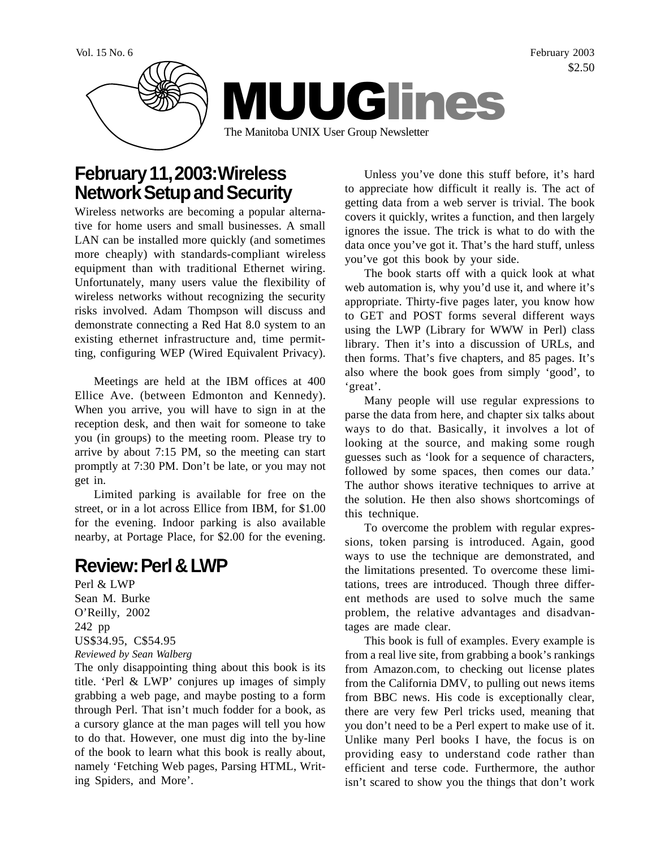Vol. 15 No. 6 February 2003 \$2.50



# **February 11, 2003: Wireless Network Setup and Security**

Wireless networks are becoming a popular alternative for home users and small businesses. A small LAN can be installed more quickly (and sometimes more cheaply) with standards-compliant wireless equipment than with traditional Ethernet wiring. Unfortunately, many users value the flexibility of wireless networks without recognizing the security risks involved. Adam Thompson will discuss and demonstrate connecting a Red Hat 8.0 system to an existing ethernet infrastructure and, time permitting, configuring WEP (Wired Equivalent Privacy).

Meetings are held at the IBM offices at 400 Ellice Ave. (between Edmonton and Kennedy). When you arrive, you will have to sign in at the reception desk, and then wait for someone to take you (in groups) to the meeting room. Please try to arrive by about 7:15 PM, so the meeting can start promptly at 7:30 PM. Don't be late, or you may not get in.

Limited parking is available for free on the street, or in a lot across Ellice from IBM, for \$1.00 for the evening. Indoor parking is also available nearby, at Portage Place, for \$2.00 for the evening.

# **Review: Perl & LWP**

Perl & LWP Sean M. Burke O'Reilly, 2002 242 pp US\$34.95, C\$54.95 *Reviewed by Sean Walberg*

The only disappointing thing about this book is its title. 'Perl & LWP' conjures up images of simply grabbing a web page, and maybe posting to a form through Perl. That isn't much fodder for a book, as a cursory glance at the man pages will tell you how to do that. However, one must dig into the by-line of the book to learn what this book is really about, namely 'Fetching Web pages, Parsing HTML, Writing Spiders, and More'.

Unless you've done this stuff before, it's hard to appreciate how difficult it really is. The act of getting data from a web server is trivial. The book covers it quickly, writes a function, and then largely ignores the issue. The trick is what to do with the data once you've got it. That's the hard stuff, unless you've got this book by your side.

The book starts off with a quick look at what web automation is, why you'd use it, and where it's appropriate. Thirty-five pages later, you know how to GET and POST forms several different ways using the LWP (Library for WWW in Perl) class library. Then it's into a discussion of URLs, and then forms. That's five chapters, and 85 pages. It's also where the book goes from simply 'good', to 'great'.

Many people will use regular expressions to parse the data from here, and chapter six talks about ways to do that. Basically, it involves a lot of looking at the source, and making some rough guesses such as 'look for a sequence of characters, followed by some spaces, then comes our data.' The author shows iterative techniques to arrive at the solution. He then also shows shortcomings of this technique.

To overcome the problem with regular expressions, token parsing is introduced. Again, good ways to use the technique are demonstrated, and the limitations presented. To overcome these limitations, trees are introduced. Though three different methods are used to solve much the same problem, the relative advantages and disadvantages are made clear.

This book is full of examples. Every example is from a real live site, from grabbing a book's rankings from Amazon.com, to checking out license plates from the California DMV, to pulling out news items from BBC news. His code is exceptionally clear, there are very few Perl tricks used, meaning that you don't need to be a Perl expert to make use of it. Unlike many Perl books I have, the focus is on providing easy to understand code rather than efficient and terse code. Furthermore, the author isn't scared to show you the things that don't work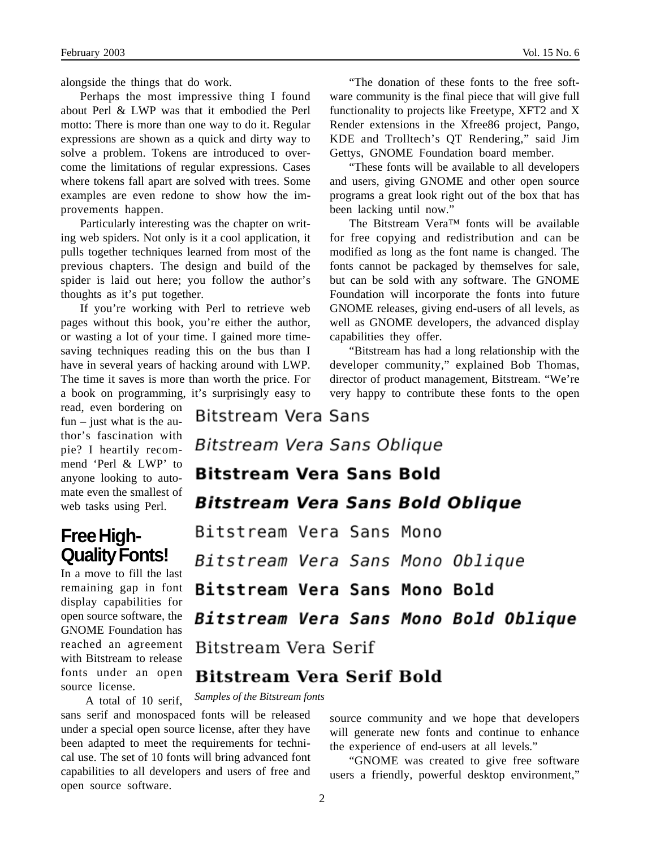alongside the things that do work.

Perhaps the most impressive thing I found about Perl & LWP was that it embodied the Perl motto: There is more than one way to do it. Regular expressions are shown as a quick and dirty way to solve a problem. Tokens are introduced to overcome the limitations of regular expressions. Cases where tokens fall apart are solved with trees. Some examples are even redone to show how the improvements happen.

Particularly interesting was the chapter on writing web spiders. Not only is it a cool application, it pulls together techniques learned from most of the previous chapters. The design and build of the spider is laid out here; you follow the author's thoughts as it's put together.

If you're working with Perl to retrieve web pages without this book, you're either the author, or wasting a lot of your time. I gained more timesaving techniques reading this on the bus than I have in several years of hacking around with LWP. The time it saves is more than worth the price. For

a book on programming, it's surprisingly easy to read, even bordering on fun – just what is the author's fascination with pie? I heartily recommend 'Perl & LWP' to anyone looking to automate even the smallest of web tasks using Perl.

## **Free High-Quality Fonts!**

In a move to fill the last remaining gap in font display capabilities for open source software, the GNOME Foundation has reached an agreement with Bitstream to release fonts under an open source license.

A total of 10 serif,

"The donation of these fonts to the free software community is the final piece that will give full functionality to projects like Freetype, XFT2 and X Render extensions in the Xfree86 project, Pango, KDE and Trolltech's QT Rendering," said Jim Gettys, GNOME Foundation board member.

"These fonts will be available to all developers and users, giving GNOME and other open source programs a great look right out of the box that has been lacking until now."

The Bitstream Vera™ fonts will be available for free copying and redistribution and can be modified as long as the font name is changed. The fonts cannot be packaged by themselves for sale, but can be sold with any software. The GNOME Foundation will incorporate the fonts into future GNOME releases, giving end-users of all levels, as well as GNOME developers, the advanced display capabilities they offer.

"Bitstream has had a long relationship with the developer community," explained Bob Thomas, director of product management, Bitstream. "We're very happy to contribute these fonts to the open

**Bitstream Vera Sans** Bitstream Vera Sans Oblique **Bitstream Vera Sans Bold Bitstream Vera Sans Bold Oblique** Bitstream Vera Sans Mono Bitstream Vera Sans Mono Oblique Bitstream Vera Sans Mono Bold Bitstream Vera Sans Mono Bold Oblique Bitstream Vera Serif

### **Bitstream Vera Serif Bold**

*Samples of the Bitstream fonts*

sans serif and monospaced fonts will be released under a special open source license, after they have been adapted to meet the requirements for technical use. The set of 10 fonts will bring advanced font capabilities to all developers and users of free and open source software.

source community and we hope that developers will generate new fonts and continue to enhance the experience of end-users at all levels."

"GNOME was created to give free software users a friendly, powerful desktop environment,"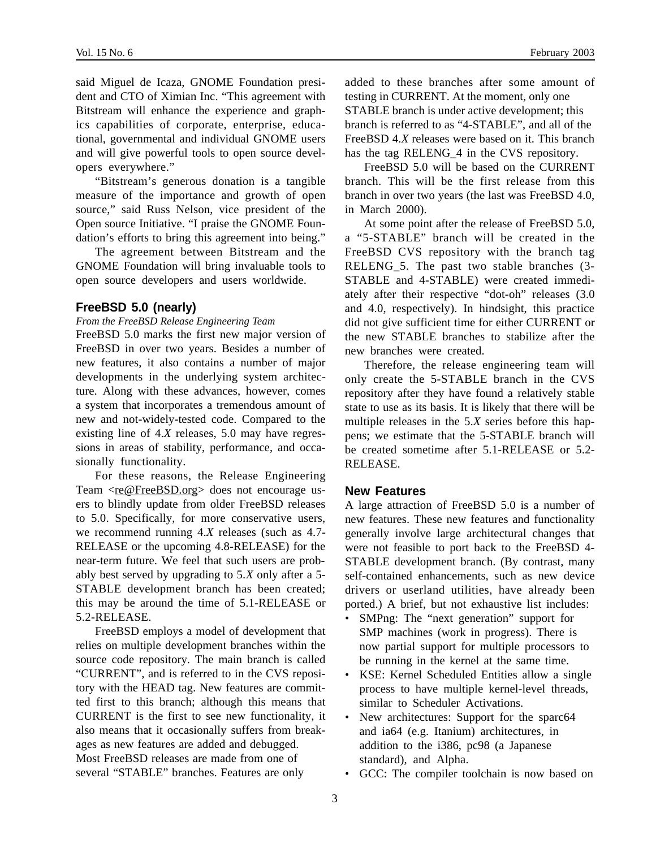said Miguel de Icaza, GNOME Foundation president and CTO of Ximian Inc. "This agreement with Bitstream will enhance the experience and graphics capabilities of corporate, enterprise, educational, governmental and individual GNOME users and will give powerful tools to open source developers everywhere."

"Bitstream's generous donation is a tangible measure of the importance and growth of open source," said Russ Nelson, vice president of the Open source Initiative. "I praise the GNOME Foundation's efforts to bring this agreement into being."

The agreement between Bitstream and the GNOME Foundation will bring invaluable tools to open source developers and users worldwide.

#### **FreeBSD 5.0 (nearly)**

#### *From the FreeBSD Release Engineering Team*

FreeBSD 5.0 marks the first new major version of FreeBSD in over two years. Besides a number of new features, it also contains a number of major developments in the underlying system architecture. Along with these advances, however, comes a system that incorporates a tremendous amount of new and not-widely-tested code. Compared to the existing line of 4.*X* releases, 5.0 may have regressions in areas of stability, performance, and occasionally functionality.

For these reasons, the Release Engineering Team <re@FreeBSD.org> does not encourage users to blindly update from older FreeBSD releases to 5.0. Specifically, for more conservative users, we recommend running 4.*X* releases (such as 4.7- RELEASE or the upcoming 4.8-RELEASE) for the near-term future. We feel that such users are probably best served by upgrading to 5.*X* only after a 5- STABLE development branch has been created; this may be around the time of 5.1-RELEASE or 5.2-RELEASE.

FreeBSD employs a model of development that relies on multiple development branches within the source code repository. The main branch is called "CURRENT", and is referred to in the CVS repository with the HEAD tag. New features are committed first to this branch; although this means that CURRENT is the first to see new functionality, it also means that it occasionally suffers from breakages as new features are added and debugged. Most FreeBSD releases are made from one of several "STABLE" branches. Features are only

added to these branches after some amount of testing in CURRENT. At the moment, only one STABLE branch is under active development; this branch is referred to as "4-STABLE", and all of the FreeBSD 4.*X* releases were based on it. This branch has the tag RELENG\_4 in the CVS repository.

FreeBSD 5.0 will be based on the CURRENT branch. This will be the first release from this branch in over two years (the last was FreeBSD 4.0, in March 2000).

At some point after the release of FreeBSD 5.0, a "5-STABLE" branch will be created in the FreeBSD CVS repository with the branch tag RELENG 5. The past two stable branches (3-STABLE and 4-STABLE) were created immediately after their respective "dot-oh" releases (3.0 and 4.0, respectively). In hindsight, this practice did not give sufficient time for either CURRENT or the new STABLE branches to stabilize after the new branches were created.

Therefore, the release engineering team will only create the 5-STABLE branch in the CVS repository after they have found a relatively stable state to use as its basis. It is likely that there will be multiple releases in the 5.*X* series before this happens; we estimate that the 5-STABLE branch will be created sometime after 5.1-RELEASE or 5.2-RELEASE.

#### **New Features**

A large attraction of FreeBSD 5.0 is a number of new features. These new features and functionality generally involve large architectural changes that were not feasible to port back to the FreeBSD 4- STABLE development branch. (By contrast, many self-contained enhancements, such as new device drivers or userland utilities, have already been ported.) A brief, but not exhaustive list includes:

- SMPng: The "next generation" support for SMP machines (work in progress). There is now partial support for multiple processors to be running in the kernel at the same time.
- KSE: Kernel Scheduled Entities allow a single process to have multiple kernel-level threads, similar to Scheduler Activations.
- New architectures: Support for the sparc64 and ia64 (e.g. Itanium) architectures, in addition to the i386, pc98 (a Japanese standard), and Alpha.
- GCC: The compiler toolchain is now based on